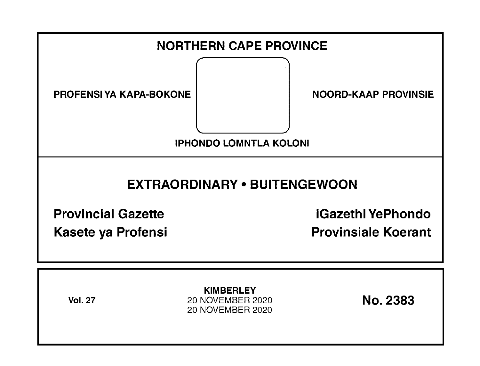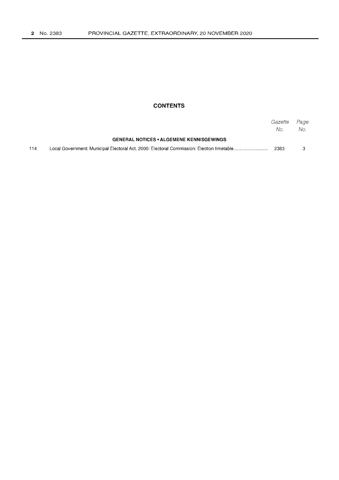# **CONTENTS**

|                                                 |  | Gazette<br>No. | Page<br>No. . |
|-------------------------------------------------|--|----------------|---------------|
| <b>GENERAL NOTICES • ALGEMENE KENNISGEWINGS</b> |  |                |               |
| 114                                             |  | 2383           |               |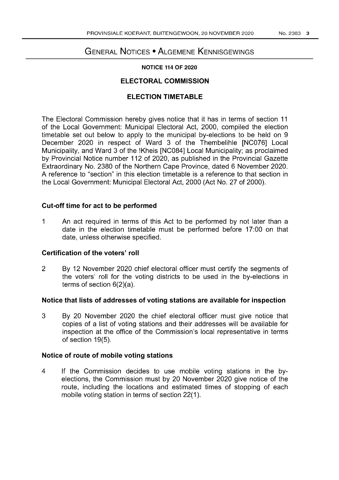# GENERAL NOTICES • ALGEMENE KENNISGEWINGS

#### **NOTICE 114 OF 2020**

# **ELECTORAL COMMISSION**

# **ELECTION TIMETABLE**

The Electoral Commission hereby gives notice that it has in terms of section 11 of the Local Government: Municipal Electoral Act, 2000, compiled the election timetable set out below to apply to the municipal by-elections to be held on 9 December 2020 in respect of Ward 3 of the Thembelihle [NC076] Local Municipality, and Ward 3 of the !Kheis [NC084] Local Municipality; as proclaimed by Provincial Notice number 112 of 2020, as published in the Provincial Gazette Extraordinary No. 2380 of the Northern Cape Province, dated 6 November 2020. A reference to "section" in this election timetable is a reference to that section in the Local Government: Municipal Electoral Act, 2000 (Act No. 27 of 2000).

# **Cut-off time for act to be performed**

1 An act required in terms of this Act to be performed by not later than a date in the election timetable must be performed before 17:00 on that date, unless otherwise specified.

# **Certification of the voters' roll**

2 By 12 November 2020 chief electoral officer must certify the segments of the voters' roll for the voting districts to be used in the by-elections in terms of section 6(2)(a).

# **Notice that lists of addresses of voting stations are available for inspection**

3 By 20 November 2020 the chief electoral officer must give notice that copies of a list of voting stations and their addresses will be available for inspection at the office of the Commission's local representative in terms of section 19(5).

# **Notice of route of mobile voting stations**

4 If the Commission decides to use mobile voting stations in the byelections, the Commission must by 20 November 2020 give notice of the route, including the locations and estimated times of stopping of each mobile voting station in terms of section 22(1).